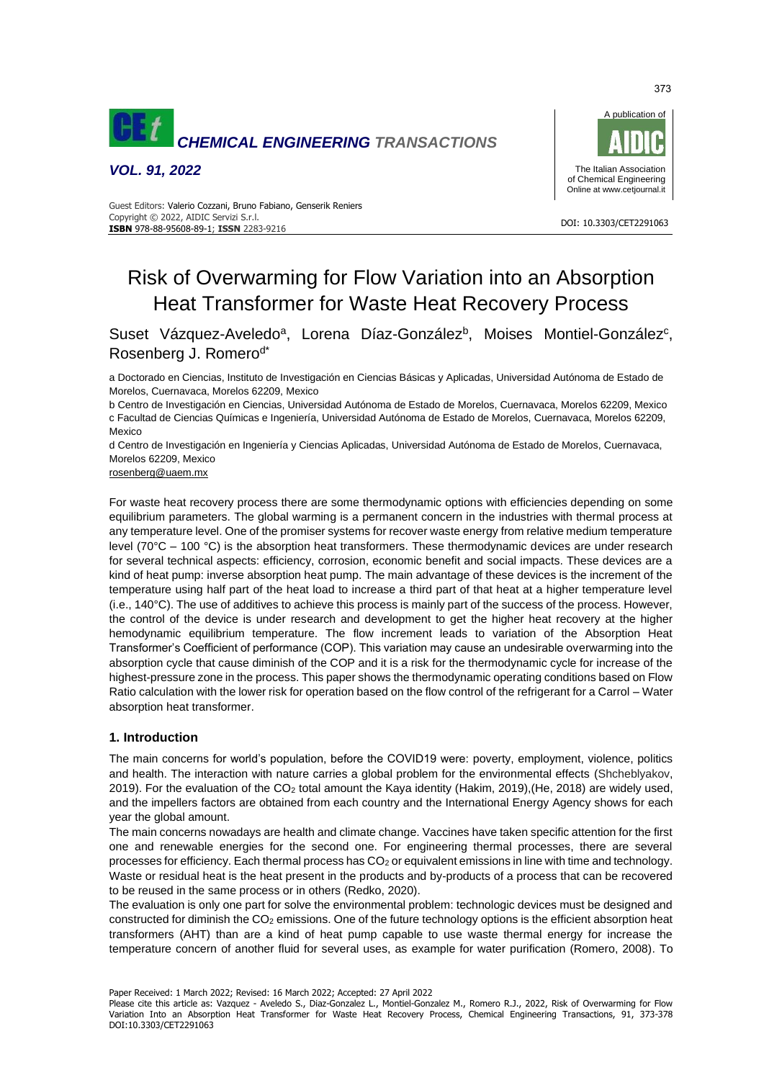

*VOL. 91, 2022*



#### DOI: 10.3303/CET2291063 **ISBN** 978-88-95608-89-1; **ISSN** 2283-9216 Guest Editors: Valerio Cozzani, Bruno Fabiano, Genserik Reniers Copyright © 2022, AIDIC Servizi S.r.l.

# Risk of Overwarming for Flow Variation into an Absorption Heat Transformer for Waste Heat Recovery Process

Suset Vázquez-Aveledo<sup>a</sup>, Lorena Díaz-González<sup>b</sup>, Moises Montiel-González<sup>c</sup>, Rosenberg J. Romero<sup>d\*</sup>

a Doctorado en Ciencias, Instituto de Investigación en Ciencias Básicas y Aplicadas, Universidad Autónoma de Estado de Morelos, Cuernavaca, Morelos 62209, Mexico

b Centro de Investigación en Ciencias, Universidad Autónoma de Estado de Morelos, Cuernavaca, Morelos 62209, Mexico c Facultad de Ciencias Químicas e Ingeniería, Universidad Autónoma de Estado de Morelos, Cuernavaca, Morelos 62209, Mexico

d Centro de Investigación en Ingeniería y Ciencias Aplicadas, Universidad Autónoma de Estado de Morelos, Cuernavaca, Morelos 62209, Mexico

[rosenberg@uaem.mx](mailto:rosenberg@uaem.mx)

For waste heat recovery process there are some thermodynamic options with efficiencies depending on some equilibrium parameters. The global warming is a permanent concern in the industries with thermal process at any temperature level. One of the promiser systems for recover waste energy from relative medium temperature level (70 $^{\circ}$ C – 100  $^{\circ}$ C) is the absorption heat transformers. These thermodynamic devices are under research for several technical aspects: efficiency, corrosion, economic benefit and social impacts. These devices are a kind of heat pump: inverse absorption heat pump. The main advantage of these devices is the increment of the temperature using half part of the heat load to increase a third part of that heat at a higher temperature level (i.e., 140°C). The use of additives to achieve this process is mainly part of the success of the process. However, the control of the device is under research and development to get the higher heat recovery at the higher hemodynamic equilibrium temperature. The flow increment leads to variation of the Absorption Heat Transformer's Coefficient of performance (COP). This variation may cause an undesirable overwarming into the absorption cycle that cause diminish of the COP and it is a risk for the thermodynamic cycle for increase of the highest-pressure zone in the process. This paper shows the thermodynamic operating conditions based on Flow Ratio calculation with the lower risk for operation based on the flow control of the refrigerant for a Carrol – Water absorption heat transformer.

## **1. Introduction**

The main concerns for world's population, before the COVID19 were: poverty, employment, violence, politics and health. The interaction with nature carries a global problem for the environmental effects (Shcheblyakov, 2019). For the evaluation of the CO<sup>2</sup> total amount the Kaya identity (Hakim, 2019),(He, 2018) are widely used, and the impellers factors are obtained from each country and the International Energy Agency shows for each year the global amount.

The main concerns nowadays are health and climate change. Vaccines have taken specific attention for the first one and renewable energies for the second one. For engineering thermal processes, there are several processes for efficiency. Each thermal process has CO<sup>2</sup> or equivalent emissions in line with time and technology. Waste or residual heat is the heat present in the products and by-products of a process that can be recovered to be reused in the same process or in others (Redko, 2020).

The evaluation is only one part for solve the environmental problem: technologic devices must be designed and constructed for diminish the  $CO<sub>2</sub>$  emissions. One of the future technology options is the efficient absorption heat transformers (AHT) than are a kind of heat pump capable to use waste thermal energy for increase the temperature concern of another fluid for several uses, as example for water purification (Romero, 2008). To

Paper Received: 1 March 2022; Revised: 16 March 2022; Accepted: 27 April 2022

Please cite this article as: Vazquez - Aveledo S., Diaz-Gonzalez L., Montiel-Gonzalez M., Romero R.J., 2022, Risk of Overwarming for Flow Variation Into an Absorption Heat Transformer for Waste Heat Recovery Process, Chemical Engineering Transactions, 91, 373-378 DOI:10.3303/CET2291063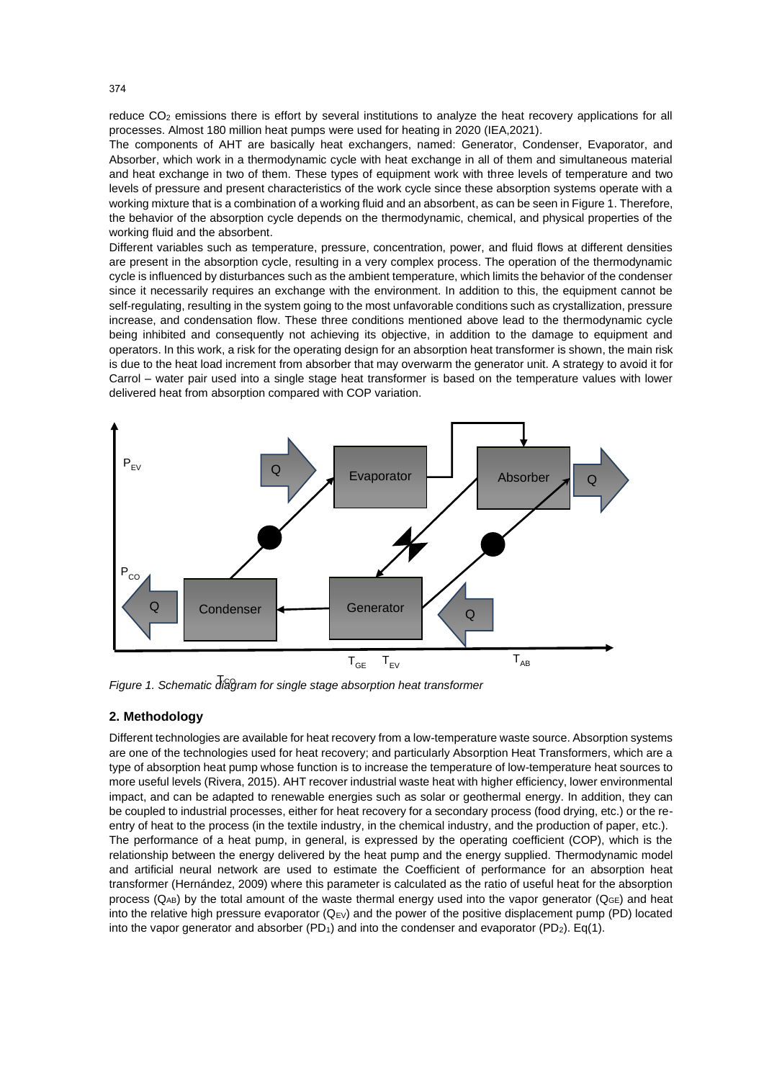reduce CO<sub>2</sub> emissions there is effort by several institutions to analyze the heat recovery applications for all processes. Almost 180 million heat pumps were used for heating in 2020 (IEA,2021).

The components of AHT are basically heat exchangers, named: Generator, Condenser, Evaporator, and Absorber, which work in a thermodynamic cycle with heat exchange in all of them and simultaneous material and heat exchange in two of them. These types of equipment work with three levels of temperature and two levels of pressure and present characteristics of the work cycle since these absorption systems operate with a working mixture that is a combination of a working fluid and an absorbent, as can be seen in Figure 1. Therefore, the behavior of the absorption cycle depends on the thermodynamic, chemical, and physical properties of the working fluid and the absorbent.

Different variables such as temperature, pressure, concentration, power, and fluid flows at different densities are present in the absorption cycle, resulting in a very complex process. The operation of the thermodynamic cycle is influenced by disturbances such as the ambient temperature, which limits the behavior of the condenser since it necessarily requires an exchange with the environment. In addition to this, the equipment cannot be self-regulating, resulting in the system going to the most unfavorable conditions such as crystallization, pressure increase, and condensation flow. These three conditions mentioned above lead to the thermodynamic cycle being inhibited and consequently not achieving its objective, in addition to the damage to equipment and operators. In this work, a risk for the operating design for an absorption heat transformer is shown, the main risk is due to the heat load increment from absorber that may overwarm the generator unit. A strategy to avoid it for Carrol – water pair used into a single stage heat transformer is based on the temperature values with lower delivered heat from absorption compared with COP variation.



Figure 1. Schematic diagram for single stage absorption heat transformer

## **2. Methodology**

Different technologies are available for heat recovery from a low-temperature waste source. Absorption systems are one of the technologies used for heat recovery; and particularly Absorption Heat Transformers, which are a type of absorption heat pump whose function is to increase the temperature of low-temperature heat sources to more useful levels (Rivera, 2015). AHT recover industrial waste heat with higher efficiency, lower environmental impact, and can be adapted to renewable energies such as solar or geothermal energy. In addition, they can be coupled to industrial processes, either for heat recovery for a secondary process (food drying, etc.) or the reentry of heat to the process (in the textile industry, in the chemical industry, and the production of paper, etc.). The performance of a heat pump, in general, is expressed by the operating coefficient (COP), which is the relationship between the energy delivered by the heat pump and the energy supplied. Thermodynamic model and artificial neural network are used to estimate the Coefficient of performance for an absorption heat transformer (Hernández, 2009) where this parameter is calculated as the ratio of useful heat for the absorption process ( $Q_{AB}$ ) by the total amount of the waste thermal energy used into the vapor generator ( $Q_{GE}$ ) and heat into the relative high pressure evaporator  $(Q_{EV})$  and the power of the positive displacement pump (PD) located into the vapor generator and absorber ( $PD_1$ ) and into the condenser and evaporator ( $PD_2$ ). Eq(1).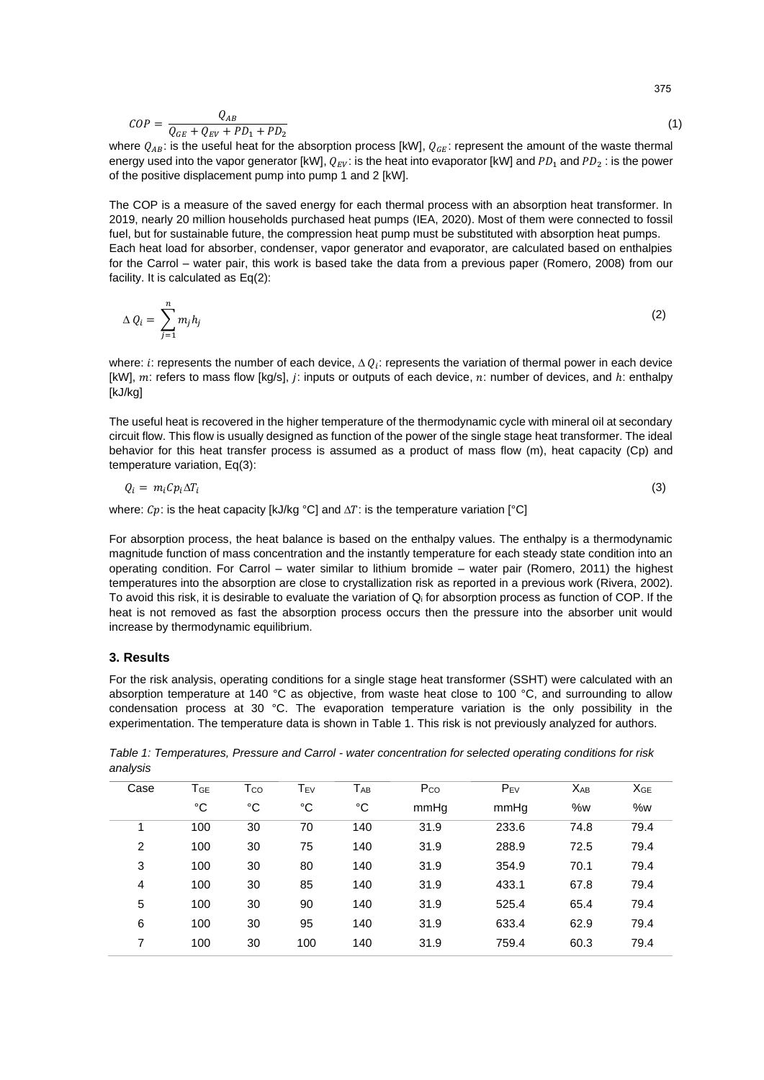$$
COP = \frac{Q_{AB}}{Q_{GE} + Q_{EV} + PD_1 + PD_2} \tag{1}
$$

where  $Q_{AB}$ : is the useful heat for the absorption process [kW],  $Q_{GE}$ : represent the amount of the waste thermal energy used into the vapor generator [kW],  $Q_{EV}$ : is the heat into evaporator [kW] and  $PD_1$  and  $PD_2$ : is the power of the positive displacement pump into pump 1 and 2 [kW].

The COP is a measure of the saved energy for each thermal process with an absorption heat transformer. In 2019, nearly 20 million households purchased heat pumps (IEA, 2020). Most of them were connected to fossil fuel, but for sustainable future, the compression heat pump must be substituted with absorption heat pumps. Each heat load for absorber, condenser, vapor generator and evaporator, are calculated based on enthalpies for the Carrol – water pair, this work is based take the data from a previous paper (Romero, 2008) from our facility. It is calculated as Eq(2):

$$
\Delta Q_i = \sum_{j=1}^n m_j h_j \tag{2}
$$

where: i: represents the number of each device,  $\Delta Q_i$ : represents the variation of thermal power in each device [kW],  $m$ : refers to mass flow [kg/s], j: inputs or outputs of each device,  $n$ : number of devices, and  $h$ : enthalpy [kJ/kg]

The useful heat is recovered in the higher temperature of the thermodynamic cycle with mineral oil at secondary circuit flow. This flow is usually designed as function of the power of the single stage heat transformer. The ideal behavior for this heat transfer process is assumed as a product of mass flow (m), heat capacity (Cp) and temperature variation, Eq(3):

$$
Q_i = m_i C p_i \Delta T_i \tag{3}
$$

where:  $Cp$ : is the heat capacity [kJ/kg °C] and  $\Delta T$ : is the temperature variation [°C]

For absorption process, the heat balance is based on the enthalpy values. The enthalpy is a thermodynamic magnitude function of mass concentration and the instantly temperature for each steady state condition into an operating condition. For Carrol – water similar to lithium bromide – water pair (Romero, 2011) the highest temperatures into the absorption are close to crystallization risk as reported in a previous work (Rivera, 2002). To avoid this risk, it is desirable to evaluate the variation of  $Q_i$  for absorption process as function of COP. If the heat is not removed as fast the absorption process occurs then the pressure into the absorber unit would increase by thermodynamic equilibrium.

#### **3. Results**

For the risk analysis, operating conditions for a single stage heat transformer (SSHT) were calculated with an absorption temperature at 140 °C as objective, from waste heat close to 100 °C, and surrounding to allow condensation process at 30 °C. The evaporation temperature variation is the only possibility in the experimentation. The temperature data is shown in Table 1. This risk is not previously analyzed for authors.

*Table 1: Temperatures, Pressure and Carrol - water concentration for selected operating conditions for risk analysis*

| Case | TGE | Tco | TEV | TAB | Pco  | $P_{EV}$ | <b>XAB</b> | XGE  |
|------|-----|-----|-----|-----|------|----------|------------|------|
|      | °C  | °C  | °C  | °C  | mmHq | mmHg     | %w         | %w   |
| 1    | 100 | 30  | 70  | 140 | 31.9 | 233.6    | 74.8       | 79.4 |
| 2    | 100 | 30  | 75  | 140 | 31.9 | 288.9    | 72.5       | 79.4 |
| 3    | 100 | 30  | 80  | 140 | 31.9 | 354.9    | 70.1       | 79.4 |
| 4    | 100 | 30  | 85  | 140 | 31.9 | 433.1    | 67.8       | 79.4 |
| 5    | 100 | 30  | 90  | 140 | 31.9 | 525.4    | 65.4       | 79.4 |
| 6    | 100 | 30  | 95  | 140 | 31.9 | 633.4    | 62.9       | 79.4 |
| 7    | 100 | 30  | 100 | 140 | 31.9 | 759.4    | 60.3       | 79.4 |

375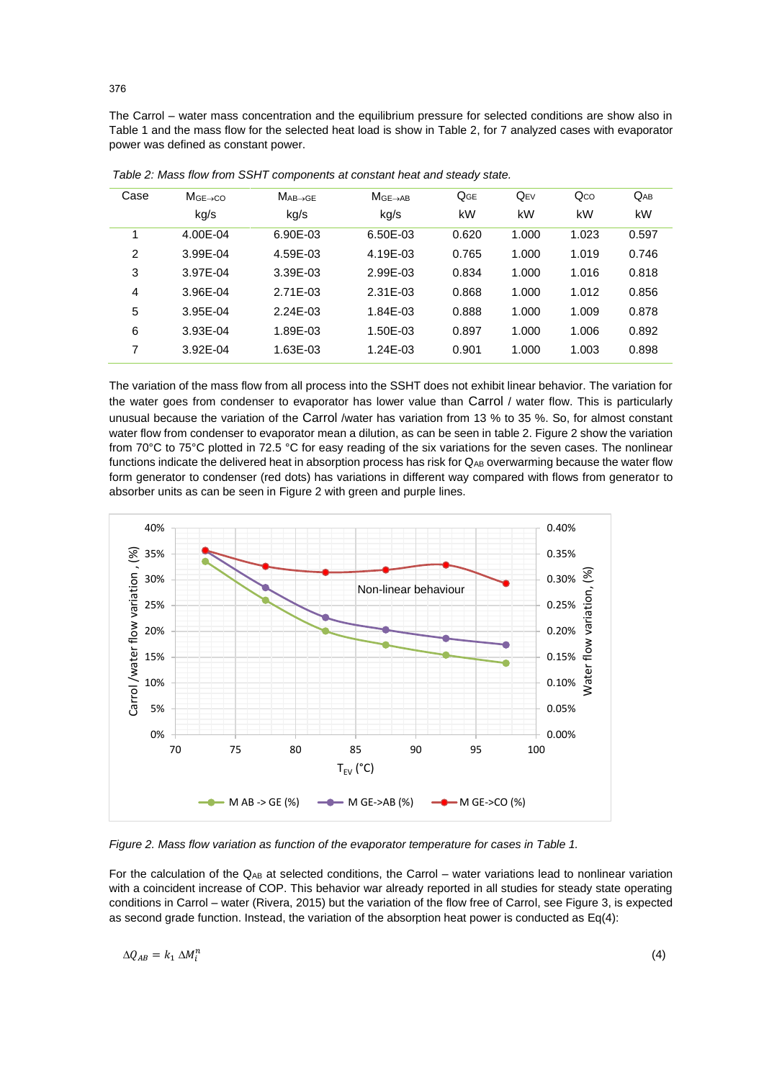The Carrol – water mass concentration and the equilibrium pressure for selected conditions are show also in Table 1 and the mass flow for the selected heat load is show in Table 2, for 7 analyzed cases with evaporator power was defined as constant power.

| Case           | $MGE \rightarrow CO$ | $MAB \rightarrow GE$ | $MGE \rightarrow AB$ | QGE   | $Q_{EV}$ | $Q_{CO}$ | $Q_{AB}$ |
|----------------|----------------------|----------------------|----------------------|-------|----------|----------|----------|
|                | kg/s                 | kg/s                 | kg/s                 | kW    | kW       | kW       | kW       |
| 1              | 4.00E-04             | 6.90E-03             | 6.50E-03             | 0.620 | 1.000    | 1.023    | 0.597    |
| $\overline{2}$ | 3.99E-04             | 4.59E-03             | 4.19E-03             | 0.765 | 1.000    | 1.019    | 0.746    |
| 3              | 3.97E-04             | 3.39E-03             | 2.99E-03             | 0.834 | 1.000    | 1.016    | 0.818    |
| 4              | 3.96E-04             | 2.71E-03             | 2.31E-03             | 0.868 | 1.000    | 1.012    | 0.856    |
| 5              | 3.95E-04             | 2.24E-03             | 1.84E-03             | 0.888 | 1.000    | 1.009    | 0.878    |
| 6              | 3.93E-04             | 1.89E-03             | 1.50E-03             | 0.897 | 1.000    | 1.006    | 0.892    |
| 7              | 3.92E-04             | 1.63E-03             | 1.24E-03             | 0.901 | 1.000    | 1.003    | 0.898    |

*Table 2: Mass flow from SSHT components at constant heat and steady state.*

The variation of the mass flow from all process into the SSHT does not exhibit linear behavior. The variation for the water goes from condenser to evaporator has lower value than Carrol / water flow. This is particularly unusual because the variation of the Carrol /water has variation from 13 % to 35 %. So, for almost constant water flow from condenser to evaporator mean a dilution, as can be seen in table 2. Figure 2 show the variation from 70°C to 75°C plotted in 72.5 °C for easy reading of the six variations for the seven cases. The nonlinear functions indicate the delivered heat in absorption process has risk for  $Q_{AB}$  overwarming because the water flow form generator to condenser (red dots) has variations in different way compared with flows from generator to absorber units as can be seen in Figure 2 with green and purple lines.



*Figure 2. Mass flow variation as function of the evaporator temperature for cases in Table 1.*

For the calculation of the QAB at selected conditions, the Carrol – water variations lead to nonlinear variation with a coincident increase of COP. This behavior war already reported in all studies for steady state operating conditions in Carrol – water (Rivera, 2015) but the variation of the flow free of Carrol, see Figure 3, is expected as second grade function. Instead, the variation of the absorption heat power is conducted as Eq(4):

$$
\Delta Q_{AB} = k_1 \, \Delta M_i^n
$$

(4)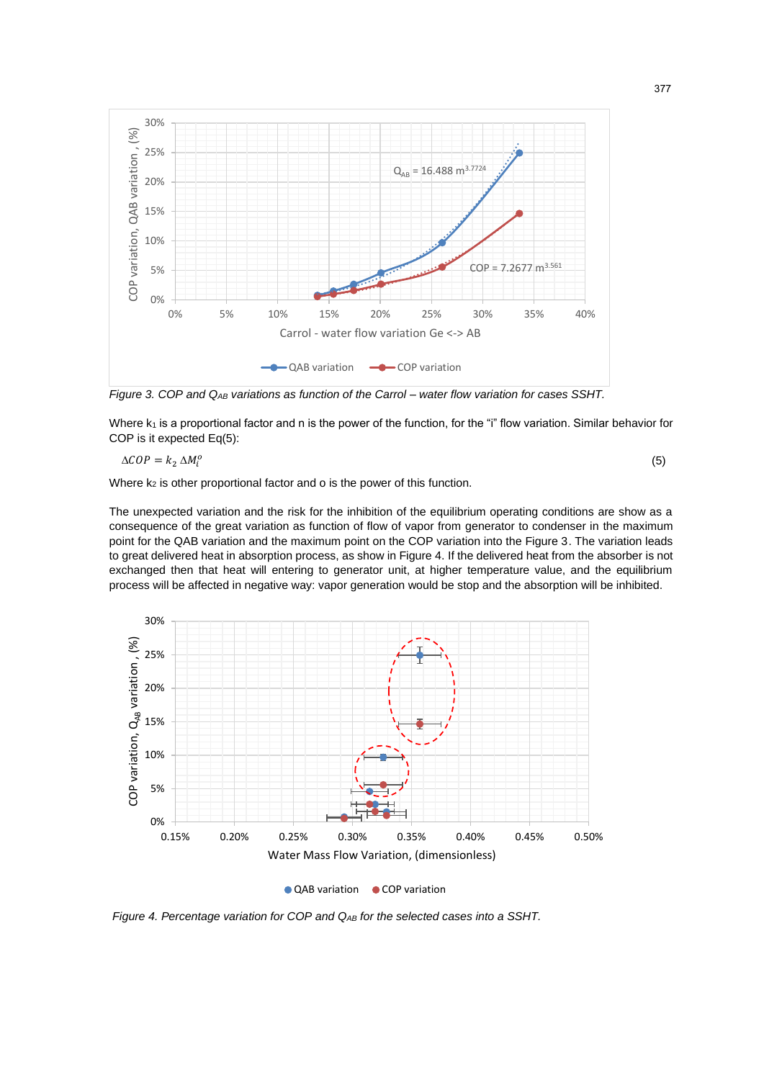

*Figure 3. COP and QAB variations as function of the Carrol – water flow variation for cases SSHT.*

Where  $k_1$  is a proportional factor and n is the power of the function, for the "i" flow variation. Similar behavior for COP is it expected Eq(5):

$$
\Delta COP = k_2 \Delta M_i^o
$$

Where  $k_2$  is other proportional factor and  $o$  is the power of this function.

The unexpected variation and the risk for the inhibition of the equilibrium operating conditions are show as a consequence of the great variation as function of flow of vapor from generator to condenser in the maximum point for the QAB variation and the maximum point on the COP variation into the Figure 3. The variation leads to great delivered heat in absorption process, as show in Figure 4. If the delivered heat from the absorber is not exchanged then that heat will entering to generator unit, at higher temperature value, and the equilibrium process will be affected in negative way: vapor generation would be stop and the absorption will be inhibited.





*Figure 4. Percentage variation for COP and QAB for the selected cases into a SSHT.*

(5)